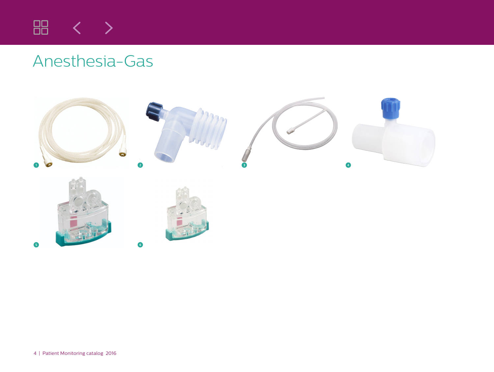

## Anesthesia-Gas